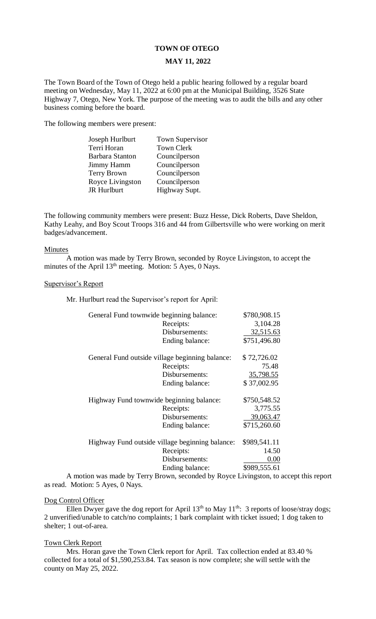# **TOWN OF OTEGO**

# **MAY 11, 2022**

The Town Board of the Town of Otego held a public hearing followed by a regular board meeting on Wednesday, May 11, 2022 at 6:00 pm at the Municipal Building, 3526 State Highway 7, Otego, New York. The purpose of the meeting was to audit the bills and any other business coming before the board.

The following members were present:

| Joseph Hurlburt        | <b>Town Supervisor</b> |
|------------------------|------------------------|
| Terri Horan            | <b>Town Clerk</b>      |
| <b>Barbara Stanton</b> | Councilperson          |
| Jimmy Hamm             | Councilperson          |
| <b>Terry Brown</b>     | Councilperson          |
| Royce Livingston       | Councilperson          |
| <b>JR</b> Hurlburt     | Highway Supt.          |
|                        |                        |

The following community members were present: Buzz Hesse, Dick Roberts, Dave Sheldon, Kathy Leahy, and Boy Scout Troops 316 and 44 from Gilbertsville who were working on merit badges/advancement.

#### Minutes

A motion was made by Terry Brown, seconded by Royce Livingston, to accept the minutes of the April 13<sup>th</sup> meeting. Motion: 5 Ayes, 0 Nays.

# Supervisor's Report

Mr. Hurlburt read the Supervisor's report for April:

| General Fund townwide beginning balance:                        | \$780,908.15   |
|-----------------------------------------------------------------|----------------|
| Receipts:                                                       | 3,104.28       |
| Disbursements:                                                  | 32,515.63      |
| Ending balance:                                                 | \$751,496.80   |
| General Fund outside village beginning balance:                 | \$72,726.02    |
| Receipts:                                                       | 75.48          |
| Disbursements:                                                  | 35,798.55      |
| Ending balance:                                                 | \$37,002.95    |
| Highway Fund townwide beginning balance:                        | \$750,548.52   |
| Receipts:                                                       | 3,775.55       |
| Disbursements:                                                  | 39,063.47      |
| Ending balance:                                                 | \$715,260.60   |
| \$989,541.11<br>Highway Fund outside village beginning balance: |                |
| Receipts:                                                       | 14.50          |
| Disbursements:                                                  | 0.00           |
| Ending balance:                                                 | \$989,555.61   |
|                                                                 | $\mathbf{r}$ . |

A motion was made by Terry Brown, seconded by Royce Livingston, to accept this report as read. Motion: 5 Ayes, 0 Nays.

# Dog Control Officer

Ellen Dwyer gave the dog report for April  $13<sup>th</sup>$  to May  $11<sup>th</sup>$ : 3 reports of loose/stray dogs; 2 unverified/unable to catch/no complaints; 1 bark complaint with ticket issued; 1 dog taken to shelter; 1 out-of-area.

## Town Clerk Report

Mrs. Horan gave the Town Clerk report for April. Tax collection ended at 83.40 % collected for a total of \$1,590,253.84. Tax season is now complete; she will settle with the county on May 25, 2022.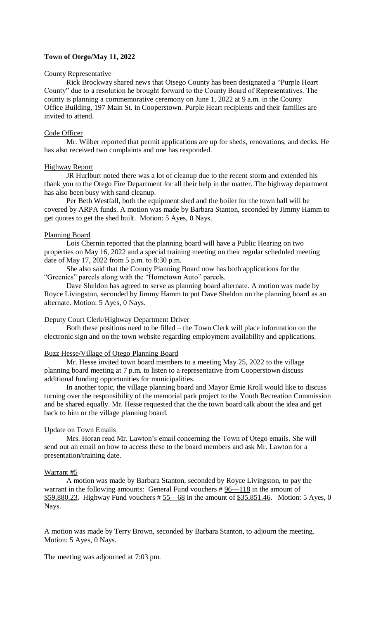# **Town of Otego/May 11, 2022**

#### County Representative

Rick Brockway shared news that Otsego County has been designated a "Purple Heart County" due to a resolution he brought forward to the County Board of Representatives. The county is planning a commemorative ceremony on June 1, 2022 at 9 a.m. in the County Office Building, 197 Main St. in Cooperstown. Purple Heart recipients and their families are invited to attend.

# Code Officer

Mr. Wilber reported that permit applications are up for sheds, renovations, and decks. He has also received two complaints and one has responded.

## Highway Report

JR Hurlburt noted there was a lot of cleanup due to the recent storm and extended his thank you to the Otego Fire Department for all their help in the matter. The highway department has also been busy with sand cleanup.

Per Beth Westfall, both the equipment shed and the boiler for the town hall will be covered by ARPA funds. A motion was made by Barbara Stanton, seconded by Jimmy Hamm to get quotes to get the shed built. Motion: 5 Ayes, 0 Nays.

### Planning Board

Lois Chernin reported that the planning board will have a Public Hearing on two properties on May 16, 2022 and a special training meeting on their regular scheduled meeting date of May 17, 2022 from 5 p.m. to 8:30 p.m.

She also said that the County Planning Board now has both applications for the "Greenies" parcels along with the "Hometown Auto" parcels.

Dave Sheldon has agreed to serve as planning board alternate. A motion was made by Royce Livingston, seconded by Jimmy Hamm to put Dave Sheldon on the planning board as an alternate. Motion: 5 Ayes, 0 Nays.

#### Deputy Court Clerk/Highway Department Driver

Both these positions need to be filled – the Town Clerk will place information on the electronic sign and on the town website regarding employment availability and applications.

# Buzz Hesse/Village of Otego Planning Board

Mr. Hesse invited town board members to a meeting May 25, 2022 to the village planning board meeting at 7 p.m. to listen to a representative from Cooperstown discuss additional funding opportunities for municipalities.

In another topic, the village planning board and Mayor Ernie Kroll would like to discuss turning over the responsibility of the memorial park project to the Youth Recreation Commission and be shared equally. Mr. Hesse requested that the the town board talk about the idea and get back to him or the village planning board.

#### Update on Town Emails

Mrs. Horan read Mr. Lawton's email concerning the Town of Otego emails. She will send out an email on how to access these to the board members and ask Mr. Lawton for a presentation/training date.

#### Warrant #5

A motion was made by Barbara Stanton, seconded by Royce Livingston, to pay the warrant in the following amounts: General Fund vouchers # 96—118 in the amount of \$59,880.23. Highway Fund vouchers  $\frac{25}{68}$  in the amount of \$35,851.46. Motion: 5 Ayes, 0 Nays.

A motion was made by Terry Brown, seconded by Barbara Stanton, to adjourn the meeting. Motion: 5 Ayes, 0 Nays.

The meeting was adjourned at 7:03 pm.